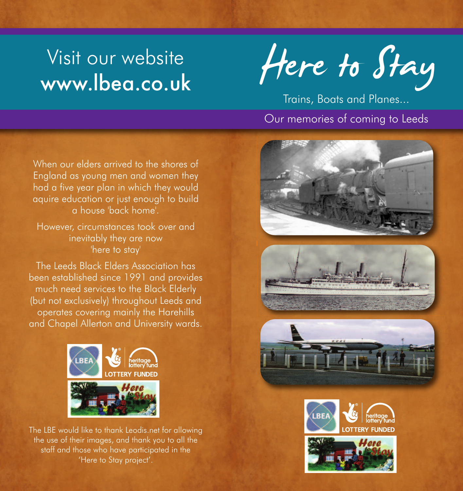# Visit our website

Visit our website Here to Stay

Trains, Boats and Planes...

# Our memories of coming to Leeds

When our elders arrived to the shores of England as young men and women they had a five year plan in which they would aquire education or just enough to build a house 'back home'.

However, circumstances took over and inevitably they are now 'here to stay'

The Leeds Black Elders Association has been established since 1991 and provides much need services to the Black Elderly (but not exclusively) throughout Leeds and operates covering mainly the Harehills and Chapel Allerton and University wards.



The LBE would like to thank Leodis.net for allowing the use of their images, and thank you to all the staff and those who have participated in the 'Here to Stay project'.







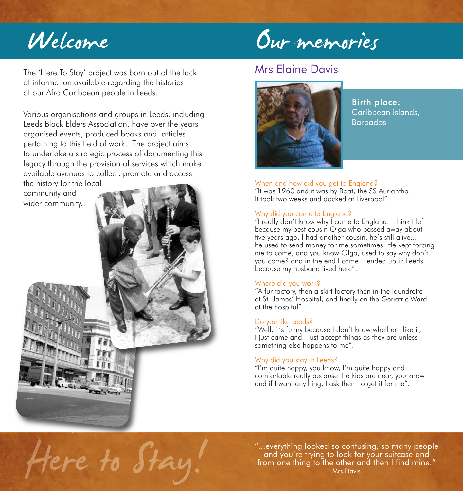# Welcome

# Our memories

The 'Here To Stay' project was born out of the lack of information available regarding the histories of our Afro Caribbean people in Leeds.

Various organisations and groups in Leeds, including Leeds Black Elders Association, have over the years organised events, produced books and articles pertaining to this field of work. The project aims to undertake a strategic process of documenting this legacy through the provision of services which make available avenues to collect, promote and access

the history for the local community and wider community..



# Mrs Elaine Davis

![](_page_1_Picture_7.jpeg)

Birth place: Caribbean islands, Barbados

#### When and how did you get to England?

"It was 1960 and it was by Boat, the SS Auriantha. It took two weeks and docked at Liverpool".

#### Why did you come to England?

"I really don't know why I came to England. I think I left because my best cousin Olga who passed away about five years ago. I had another cousin, he's still alive... he used to send money for me sometimes. He kept forcing me to come, and you know Olga, used to say why don't you come? and in the end I came. I ended up in Leeds because my husband lived here".

#### Where did you work?

"A fur factory, then a skirt factory then in the laundrette at St. James' Hospital, and finally on the Geriatric Ward at the hospital".

#### Do you like Leeds?

"Well, it's funny because I don't know whether I like it, I just came and I just accept things as they are unless something else happens to me".

#### Why did you stay in Leeds?

"I'm quite happy, you know, I'm quite happy and comfortable really because the kids are near, you know and if I want anything, I ask them to get it for me".

Here to Stay!

"...everything looked so confusing, so many people and you're trying to look for your suitcase and from one thing to the other and then I find mine." Mrs Davis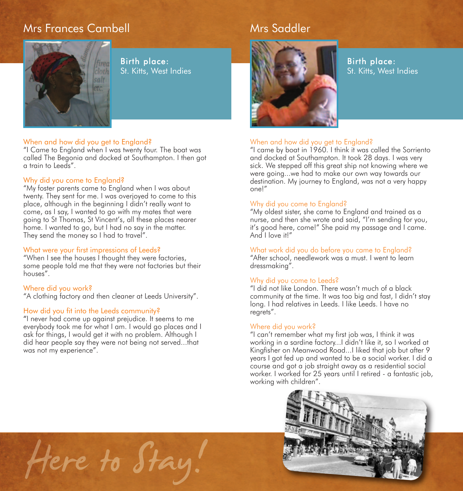# Mrs Frances Cambell

![](_page_2_Picture_1.jpeg)

Birth place: St. Kitts, West Indies

#### When and how did you get to England?

"I Came to England when I was twenty four. The boat was called The Begonia and docked at Southampton. I then got a train to Leeds".

#### Why did you come to England?

"My foster parents came to England when I was about twenty. They sent for me. I was overjoyed to come to this place, although in the beginning I didn't really want to come, as I say, I wanted to go with my mates that were going to St Thomas, St Vincent's, all these places nearer home. I wanted to go, but I had no say in the matter. They send the money so I had to travel".

#### What were your first impressions of Leeds?

"When I see the houses I thought they were factories, some people told me that they were not factories but their houses".

#### Where did you work?

"A clothing factory and then cleaner at Leeds University".

#### How did you fit into the Leeds community?

"I never had come up against prejudice. It seems to me everybody took me for what I am. I would go places and I ask for things, I would get it with no problem. Although I did hear people say they were not being not served...that was not my experience".

Here to Stay.

![](_page_2_Picture_13.jpeg)

Mrs Saddler

Birth place: St. Kitts, West Indies

#### When and how did you get to England?

"I came by boat in 1960. I think it was called the Sorriento and docked at Southampton. It took 28 days. I was very sick. We stepped off this great ship not knowing where we were going...we had to make our own way towards our destination. My journey to England, was not a very happy one!"

#### Why did you come to England?

"My oldest sister, she came to England and trained as a nurse, and then she wrote and said, "I'm sending for you, it's good here, come!" She paid my passage and I came. And I love it!"

#### What work did you do before you came to England?

"After school, needlework was a must. I went to learn dressmaking".

#### Why did you come to Leeds?

"I did not like London. There wasn't much of a black community at the time. It was too big and fast, I didn't stay long. I had relatives in Leeds. I like Leeds. I have no regrets".

#### Where did you work?

"I can't remember what my first job was, I think it was working in a sardine factory...I didn't like it, so I worked at Kingfisher on Meanwood Road...I liked that job but after 9 years I got fed up and wanted to be a social worker. I did a course and got a job straight away as a residential social worker. I worked for 25 years until I retired - a fantastic job, working with children".

![](_page_2_Picture_25.jpeg)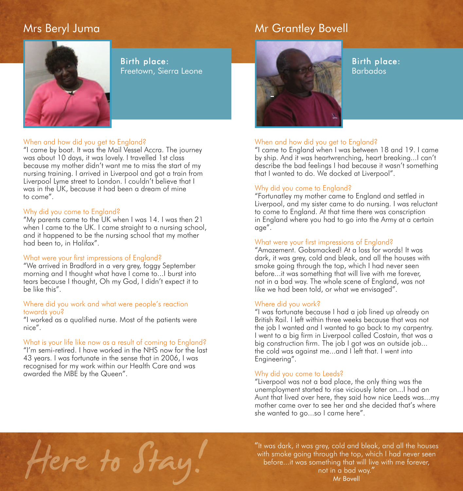## Mrs Beryl Juma

# Mr Grantley Bovell

![](_page_3_Picture_2.jpeg)

Birth place: Freetown, Sierra Leone

#### When and how did you get to England?

"I came by boat. It was the Mail Vessel Accra. The journey was about 10 days, it was lovely. I travelled 1st class because my mother didn't want me to miss the start of my nursing training. I arrived in Liverpool and got a train from Liverpool Lyme street to London. I couldn't believe that I was in the UK, because it had been a dream of mine to come".

#### Why did you come to England?

"My parents came to the UK when I was 14. I was then 21 when I came to the UK. I came straight to a nursing school, and it happened to be the nursing school that my mother had been to, in Halifax".

#### What were your first impressions of England?

"We arrived in Bradford in a very grey, foggy September morning and I thought what have I come to...I burst into tears because I thought, Oh my God, I didn't expect it to be like this".

#### Where did you work and what were people's reaction towards you?

"I worked as a qualified nurse. Most of the patients were nice".

#### What is your life like now as a result of coming to England?

"I'm semi-retired. I have worked in the NHS now for the last 43 years. I was fortunate in the sense that in 2006, I was recognised for my work within our Health Care and was awarded the MBE by the Queen".

![](_page_3_Picture_14.jpeg)

Birth place: Barbados

#### When and how did you get to England?

"I came to England when I was between 18 and 19. I came by ship. And it was heartwrenching, heart breaking...I can't describe the bad feelings I had because it wasn't something that I wanted to do. We docked at Liverpool".

#### Why did you come to England?

"Fortunatley my mother came to England and settled in Liverpool, and my sister came to do nursing. I was reluctant to come to England. At that time there was conscription in England where you had to go into the Army at a certain age".

#### What were your first impressions of England?

"Amazement. Gobsmacked! At a loss for words! It was dark, it was grey, cold and bleak, and all the houses with smoke going through the top, which I had never seen before...it was something that will live with me forever, not in a bad way. The whole scene of England, was not like we had been told, or what we envisaged".

#### Where did you work?

"I was fortunate because I had a job lined up already on British Rail. I left within three weeks because that was not the job I wanted and I wanted to go back to my carpentry. I went to a big firm in Liverpool called Costain, that was a big construction firm. The job I got was an outside job... the cold was against me...and I left that. I went into Engineering".

#### Why did you come to Leeds?

"Liverpool was not a bad place, the only thing was the unemployment started to rise viciously later on...I had an Aunt that lived over here, they said how nice Leeds was...my mother came over to see her and she decided that's where she wanted to go...so I came here".

Here to Stay.

"It was dark, it was grey, cold and bleak, and all the houses with smoke going through the top, which I had never seen before...it was something that will live with me forever, not in a bad way." Mr Bovell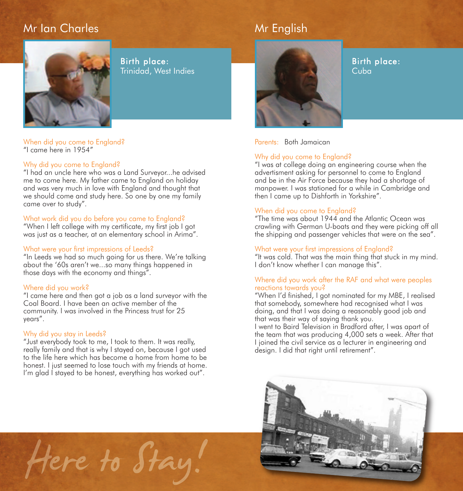# Mr Ian Charles

![](_page_4_Picture_1.jpeg)

Birth place: Trinidad, West Indies

#### When did you come to England? "I came here in 1954"

#### Why did you come to England?

"I had an uncle here who was a Land Surveyor...he advised me to come here. My father came to England on holiday and was very much in love with England and thought that we should come and study here. So one by one my family came over to study".

#### What work did you do before you came to England?

"When I left college with my certificate, my first job I got was just as a teacher, at an elementary school in Arima".

#### What were your first impressions of Leeds?

"In Leeds we had so much going for us there. We're talking about the '60s aren't we...so many things happened in those days with the economy and things".

#### Where did you work?

"I came here and then got a job as a land surveyor with the Coal Board. I have been an active member of the community. I was involved in the Princess trust for 25 years".

#### Why did you stay in Leeds?

"Just everybody took to me, I took to them. It was really, really family and that is why I stayed on, because I got used to the life here which has become a home from home to be honest. I just seemed to lose touch with my friends at home. I'm glad I stayed to be honest, everything has worked out".

Mr English

Birth place: Cuba

Parents: Both Jamaican

#### Why did you come to England?

"I was at college doing an engineering course when the advertisment asking for personnel to come to England and be in the Air Force because they had a shortage of manpower. I was stationed for a while in Cambridge and then I came up to Dishforth in Yorkshire".

#### When did you come to England?

"The time was about 1944 and the Atlantic Ocean was crawling with German U-boats and they were picking off all the shipping and passenger vehicles that were on the sea".

#### What were your first impressions of England?

"It was cold. That was the main thing that stuck in my mind. I don't know whether I can manage this".

#### Where did you work after the RAF and what were peoples reactions towards you?

"When I'd finished, I got nominated for my MBE, I realised that somebody, somewhere had recognised what I was doing, and that I was doing a reasonably good job and that was their way of saying thank you.

I went to Baird Television in Bradford after, I was apart of the team that was producing 4,000 sets a week. After that I joined the civil service as a lecturer in engineering and design. I did that right until retirement".

![](_page_4_Picture_26.jpeg)

Here to Stay.